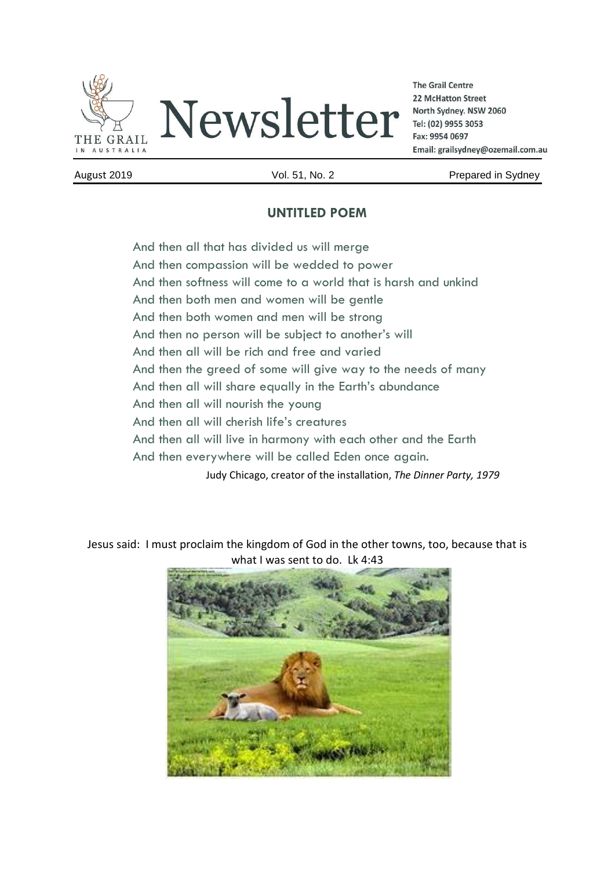

**The Grail Centre** 22 McHatton Street North Sydney. NSW 2060 Tel: (02) 9955 3053 Fax: 9954 0697 Email: grailsydney@ozemail.com.au

August 2019 Vol. 51, No. 2 Prepared in Sydney

## **UNTITLED POEM**

And then all that has divided us will merge And then compassion will be wedded to power And then softness will come to a world that is harsh and unkind And then both men and women will be gentle And then both women and men will be strong And then no person will be subject to another's will And then all will be rich and free and varied And then the greed of some will give way to the needs of many And then all will share equally in the Earth's abundance And then all will nourish the young And then all will cherish life's creatures And then all will live in harmony with each other and the Earth And then everywhere will be called Eden once again. Judy Chicago, creator of the installation, *The Dinner Party, 1979*

Jesus said: I must proclaim the kingdom of God in the other towns, too, because that is what I was sent to do. Lk 4:43

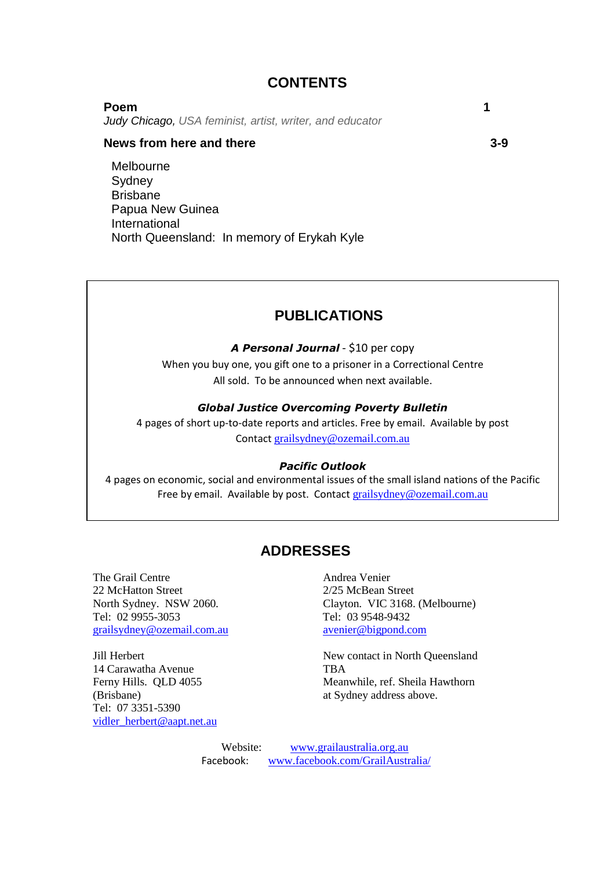## **CONTENTS**

### **Poem 1**

*Judy Chicago, USA feminist, artist, writer, and educator*

### **News from here and there** 3-9

Melbourne **Sydney** Brisbane Papua New Guinea International North Queensland: In memory of Erykah Kyle

## **PUBLICATIONS**

### *A Personal Journal* - \$10 per copy

When you buy one, you gift one to a prisoner in a Correctional Centre All sold. To be announced when next available.

### *Global Justice Overcoming Poverty Bulletin*

4 pages of short up-to-date reports and articles. Free by email. Available by post Contact [grailsydney@ozemail.com.au](mailto:grailsydney@ozemail.com.au)

#### *Pacific Outlook*

4 pages on economic, social and environmental issues of the small island nations of the Pacific Free by email. Available by post. Contact [grailsydney@ozemail.com.au](mailto:grailsydney@ozemail.com.au)

### **ADDRESSES**

The Grail Centre **Andrea** Venier 22 McHatton Street 2/25 McBean Street Tel: 02 9955-3053 Tel: 03 9548-9432 [grailsydney@ozemail.com.au](mailto:grailsydney@ozemail.com.au) [avenier@bigpond.com](mailto:avenier@bigpond.com)

14 Carawatha Avenue TBA (Brisbane) at Sydney address above. Tel: 07 3351-5390 [vidler\\_herbert@aapt.net.au](mailto:vidler_herbert@aapt.net.au)

North Sydney. NSW 2060. Clayton. VIC 3168. (Melbourne)

Jill Herbert New contact in North Queensland Ferny Hills. QLD 4055 Meanwhile, ref. Sheila Hawthorn

> Website: [www.grailaustralia.org.au](http://www.grailaustralia.org.au/) Facebook: [www.facebook.com/GrailAustralia/](http://www.facebook.com/GrailAustralia/)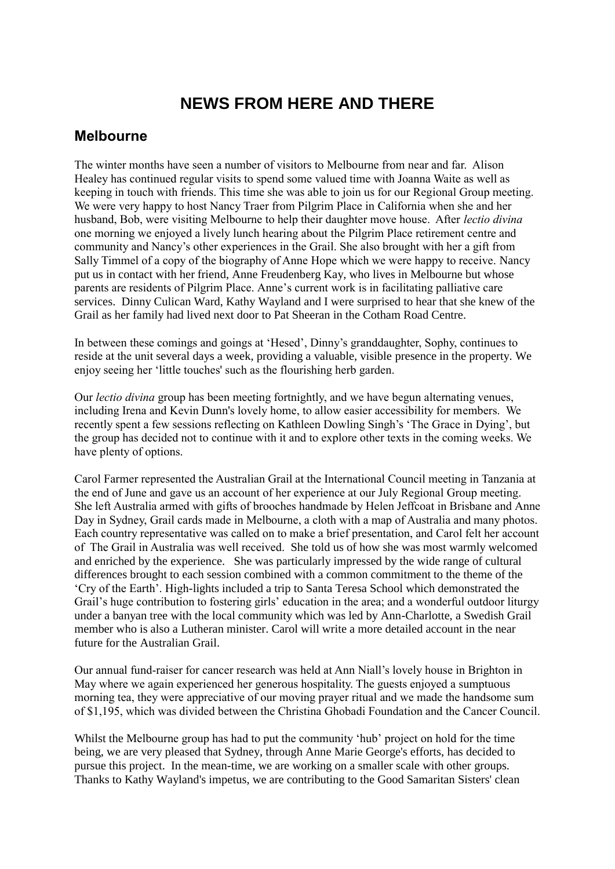# **NEWS FROM HERE AND THERE**

## **Melbourne**

The winter months have seen a number of visitors to Melbourne from near and far. Alison Healey has continued regular visits to spend some valued time with Joanna Waite as well as keeping in touch with friends. This time she was able to join us for our Regional Group meeting. We were very happy to host Nancy Traer from Pilgrim Place in California when she and her husband, Bob, were visiting Melbourne to help their daughter move house. After *lectio divina* one morning we enjoyed a lively lunch hearing about the Pilgrim Place retirement centre and community and Nancy's other experiences in the Grail. She also brought with her a gift from Sally Timmel of a copy of the biography of Anne Hope which we were happy to receive. Nancy put us in contact with her friend, Anne Freudenberg Kay, who lives in Melbourne but whose parents are residents of Pilgrim Place. Anne's current work is in facilitating palliative care services. Dinny Culican Ward, Kathy Wayland and I were surprised to hear that she knew of the Grail as her family had lived next door to Pat Sheeran in the Cotham Road Centre.

In between these comings and goings at 'Hesed', Dinny's granddaughter, Sophy, continues to reside at the unit several days a week, providing a valuable, visible presence in the property. We enjoy seeing her 'little touches' such as the flourishing herb garden.

Our *lectio divina* group has been meeting fortnightly, and we have begun alternating venues, including Irena and Kevin Dunn's lovely home, to allow easier accessibility for members. We recently spent a few sessions reflecting on Kathleen Dowling Singh's 'The Grace in Dying', but the group has decided not to continue with it and to explore other texts in the coming weeks. We have plenty of options.

Carol Farmer represented the Australian Grail at the International Council meeting in Tanzania at the end of June and gave us an account of her experience at our July Regional Group meeting. She left Australia armed with gifts of brooches handmade by Helen Jeffcoat in Brisbane and Anne Day in Sydney, Grail cards made in Melbourne, a cloth with a map of Australia and many photos. Each country representative was called on to make a brief presentation, and Carol felt her account of The Grail in Australia was well received. She told us of how she was most warmly welcomed and enriched by the experience. She was particularly impressed by the wide range of cultural differences brought to each session combined with a common commitment to the theme of the 'Cry of the Earth'. High-lights included a trip to Santa Teresa School which demonstrated the Grail's huge contribution to fostering girls' education in the area; and a wonderful outdoor liturgy under a banyan tree with the local community which was led by Ann-Charlotte, a Swedish Grail member who is also a Lutheran minister. Carol will write a more detailed account in the near future for the Australian Grail.

Our annual fund-raiser for cancer research was held at Ann Niall's lovely house in Brighton in May where we again experienced her generous hospitality. The guests enjoyed a sumptuous morning tea, they were appreciative of our moving prayer ritual and we made the handsome sum of \$1,195, which was divided between the Christina Ghobadi Foundation and the Cancer Council.

Whilst the Melbourne group has had to put the community 'hub' project on hold for the time being, we are very pleased that Sydney, through Anne Marie George's efforts, has decided to pursue this project. In the mean-time, we are working on a smaller scale with other groups. Thanks to Kathy Wayland's impetus, we are contributing to the Good Samaritan Sisters' clean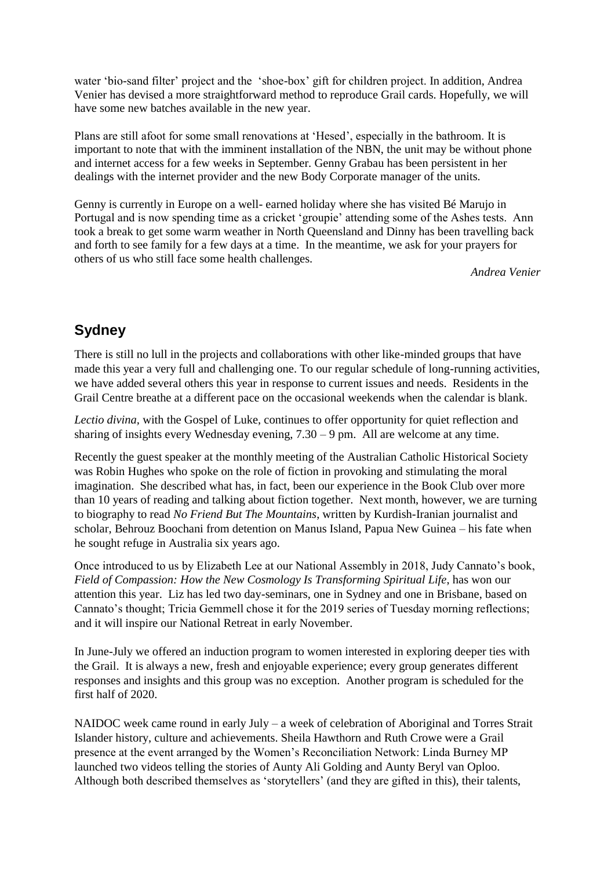water 'bio-sand filter' project and the 'shoe-box' gift for children project. In addition, Andrea Venier has devised a more straightforward method to reproduce Grail cards. Hopefully, we will have some new batches available in the new year.

Plans are still afoot for some small renovations at 'Hesed', especially in the bathroom. It is important to note that with the imminent installation of the NBN, the unit may be without phone and internet access for a few weeks in September. Genny Grabau has been persistent in her dealings with the internet provider and the new Body Corporate manager of the units.

Genny is currently in Europe on a well- earned holiday where she has visited Bé Marujo in Portugal and is now spending time as a cricket 'groupie' attending some of the Ashes tests. Ann took a break to get some warm weather in North Queensland and Dinny has been travelling back and forth to see family for a few days at a time. In the meantime, we ask for your prayers for others of us who still face some health challenges.

*Andrea Venier*

# **Sydney**

There is still no lull in the projects and collaborations with other like-minded groups that have made this year a very full and challenging one. To our regular schedule of long-running activities, we have added several others this year in response to current issues and needs. Residents in the Grail Centre breathe at a different pace on the occasional weekends when the calendar is blank.

*Lectio divina,* with the Gospel of Luke, continues to offer opportunity for quiet reflection and sharing of insights every Wednesday evening, 7.30 – 9 pm. All are welcome at any time.

Recently the guest speaker at the monthly meeting of the Australian Catholic Historical Society was Robin Hughes who spoke on the role of fiction in provoking and stimulating the moral imagination. She described what has, in fact, been our experience in the Book Club over more than 10 years of reading and talking about fiction together. Next month, however, we are turning to biography to read *No Friend But The Mountains*, written by Kurdish-Iranian journalist and scholar, Behrouz Boochani from detention on Manus Island, Papua New Guinea – his fate when he sought refuge in Australia six years ago.

Once introduced to us by Elizabeth Lee at our National Assembly in 2018, Judy Cannato's book, *Field of Compassion: How the New Cosmology Is Transforming Spiritual Life*, has won our attention this year. Liz has led two day-seminars, one in Sydney and one in Brisbane, based on Cannato's thought; Tricia Gemmell chose it for the 2019 series of Tuesday morning reflections; and it will inspire our National Retreat in early November.

In June-July we offered an induction program to women interested in exploring deeper ties with the Grail. It is always a new, fresh and enjoyable experience; every group generates different responses and insights and this group was no exception. Another program is scheduled for the first half of 2020.

NAIDOC week came round in early July – a week of celebration of Aboriginal and Torres Strait Islander history, culture and achievements. Sheila Hawthorn and Ruth Crowe were a Grail presence at the event arranged by the Women's Reconciliation Network: Linda Burney MP launched two videos telling the stories of Aunty Ali Golding and Aunty Beryl van Oploo. Although both described themselves as 'storytellers' (and they are gifted in this), their talents,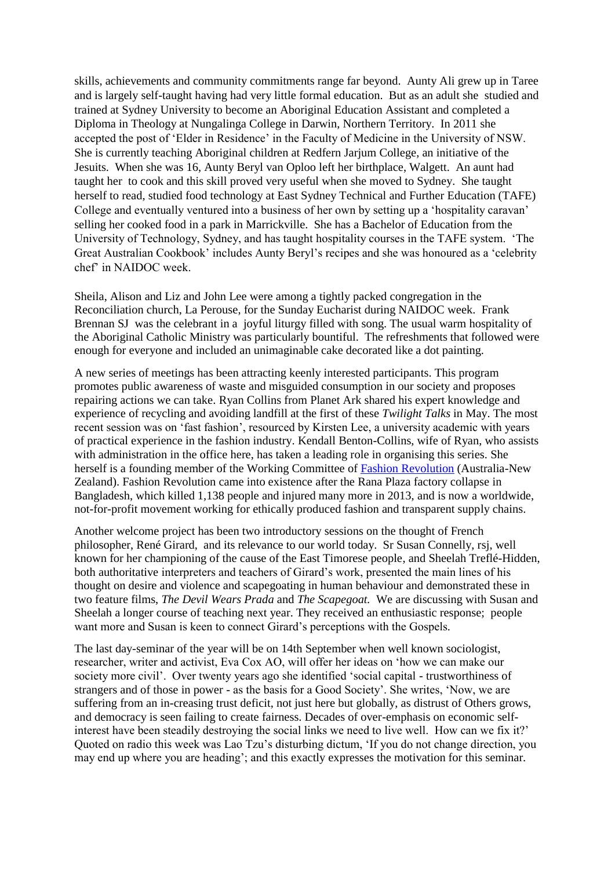skills, achievements and community commitments range far beyond. Aunty Ali grew up in Taree and is largely self-taught having had very little formal education. But as an adult she studied and trained at Sydney University to become an Aboriginal Education Assistant and completed a Diploma in Theology at Nungalinga College in Darwin, Northern Territory. In 2011 she accepted the post of 'Elder in Residence' in the Faculty of Medicine in the University of NSW. She is currently teaching Aboriginal children at Redfern Jarjum College, an initiative of the Jesuits. When she was 16, Aunty Beryl van Oploo left her birthplace, Walgett. An aunt had taught her to cook and this skill proved very useful when she moved to Sydney. She taught herself to read, studied food technology at East Sydney Technical and Further Education (TAFE) College and eventually ventured into a business of her own by setting up a 'hospitality caravan' selling her cooked food in a park in Marrickville. She has a Bachelor of Education from the University of Technology, Sydney, and has taught hospitality courses in the TAFE system. 'The Great Australian Cookbook' includes Aunty Beryl's recipes and she was honoured as a 'celebrity chef' in NAIDOC week.

Sheila, Alison and Liz and John Lee were among a tightly packed congregation in the Reconciliation church, La Perouse, for the Sunday Eucharist during NAIDOC week. Frank Brennan SJ was the celebrant in a joyful liturgy filled with song. The usual warm hospitality of the Aboriginal Catholic Ministry was particularly bountiful. The refreshments that followed were enough for everyone and included an unimaginable cake decorated like a dot painting.

A new series of meetings has been attracting keenly interested participants. This program promotes public awareness of waste and misguided consumption in our society and proposes repairing actions we can take. Ryan Collins from Planet Ark shared his expert knowledge and experience of recycling and avoiding landfill at the first of these *Twilight Talks* in May. The most recent session was on 'fast fashion', resourced by Kirsten Lee, a university academic with years of practical experience in the fashion industry. Kendall Benton-Collins, wife of Ryan, who assists with administration in the office here, has taken a leading role in organising this series. She herself is a founding member of the Working Committee of [Fashion Revolution](https://www.fashionrevolution.org/) (Australia-New Zealand). Fashion Revolution came into existence after the Rana Plaza factory collapse in Bangladesh, which killed 1,138 people and injured many more in 2013, and is now a worldwide, not-for-profit movement working for ethically produced fashion and transparent supply chains.

Another welcome project has been two introductory sessions on the thought of French philosopher, René Girard, and its relevance to our world today. Sr Susan Connelly, rsj, well known for her championing of the cause of the East Timorese people, and Sheelah Treflé-Hidden, both authoritative interpreters and teachers of Girard's work, presented the main lines of his thought on desire and violence and scapegoating in human behaviour and demonstrated these in two feature films, *The Devil Wears Prada* and *The Scapegoat.* We are discussing with Susan and Sheelah a longer course of teaching next year. They received an enthusiastic response; people want more and Susan is keen to connect Girard's perceptions with the Gospels*.*

The last day-seminar of the year will be on 14th September when well known sociologist, researcher, writer and activist, Eva Cox AO, will offer her ideas on 'how we can make our society more civil'. Over twenty years ago she identified 'social capital - trustworthiness of strangers and of those in power - as the basis for a Good Society'. She writes, 'Now, we are suffering from an in-creasing trust deficit, not just here but globally, as distrust of Others grows, and democracy is seen failing to create fairness. Decades of over-emphasis on economic selfinterest have been steadily destroying the social links we need to live well. How can we fix it?' Quoted on radio this week was Lao Tzu's disturbing dictum, 'If you do not change direction, you may end up where you are heading'; and this exactly expresses the motivation for this seminar.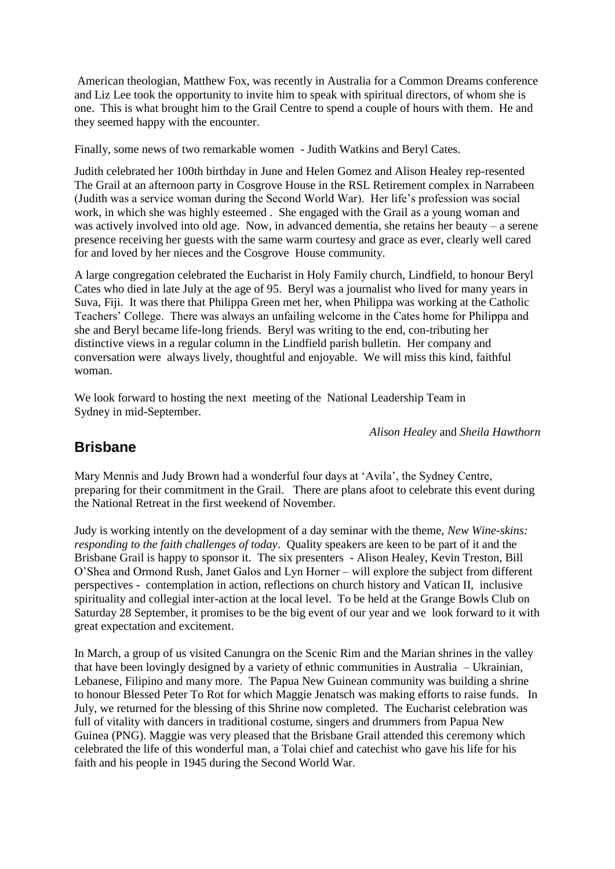American theologian, Matthew Fox, was recently in Australia for a Common Dreams conference and Liz Lee took the opportunity to invite him to speak with spiritual directors, of whom she is one. This is what brought him to the Grail Centre to spend a couple of hours with them. He and they seemed happy with the encounter.

Finally, some news of two remarkable women - Judith Watkins and Beryl Cates.

Judith celebrated her 100th birthday in June and Helen Gomez and Alison Healey rep-resented The Grail at an afternoon party in Cosgrove House in the RSL Retirement complex in Narrabeen (Judith was a service woman during the Second World War). Her life's profession was social work, in which she was highly esteemed . She engaged with the Grail as a young woman and was actively involved into old age. Now, in advanced dementia, she retains her beauty – a serene presence receiving her guests with the same warm courtesy and grace as ever, clearly well cared for and loved by her nieces and the Cosgrove House community.

A large congregation celebrated the Eucharist in Holy Family church, Lindfield, to honour Beryl Cates who died in late July at the age of 95. Beryl was a journalist who lived for many years in Suva, Fiji. It was there that Philippa Green met her, when Philippa was working at the Catholic Teachers' College. There was always an unfailing welcome in the Cates home for Philippa and she and Beryl became life-long friends. Beryl was writing to the end, con-tributing her distinctive views in a regular column in the Lindfield parish bulletin. Her company and conversation were always lively, thoughtful and enjoyable. We will miss this kind, faithful woman.

We look forward to hosting the next meeting of the National Leadership Team in Sydney in mid-September.

*Alison Healey* and *Sheila Hawthorn*

## **Brisbane**

Mary Mennis and Judy Brown had a wonderful four days at 'Avila', the Sydney Centre, preparing for their commitment in the Grail. There are plans afoot to celebrate this event during the National Retreat in the first weekend of November.

Judy is working intently on the development of a day seminar with the theme, *New Wine-skins: responding to the faith challenges of today*. Quality speakers are keen to be part of it and the Brisbane Grail is happy to sponsor it. The six presenters - Alison Healey, Kevin Treston, Bill O'Shea and Ormond Rush, Janet Galos and Lyn Horner – will explore the subject from different perspectives - contemplation in action, reflections on church history and Vatican II, inclusive spirituality and collegial inter-action at the local level. To be held at the Grange Bowls Club on Saturday 28 September, it promises to be the big event of our year and we look forward to it with great expectation and excitement.

In March, a group of us visited Canungra on the Scenic Rim and the Marian shrines in the valley that have been lovingly designed by a variety of ethnic communities in Australia – Ukrainian, Lebanese, Filipino and many more. The Papua New Guinean community was building a shrine to honour Blessed Peter To Rot for which Maggie Jenatsch was making efforts to raise funds. In July, we returned for the blessing of this Shrine now completed. The Eucharist celebration was full of vitality with dancers in traditional costume, singers and drummers from Papua New Guinea (PNG). Maggie was very pleased that the Brisbane Grail attended this ceremony which celebrated the life of this wonderful man, a Tolai chief and catechist who gave his life for his faith and his people in 1945 during the Second World War.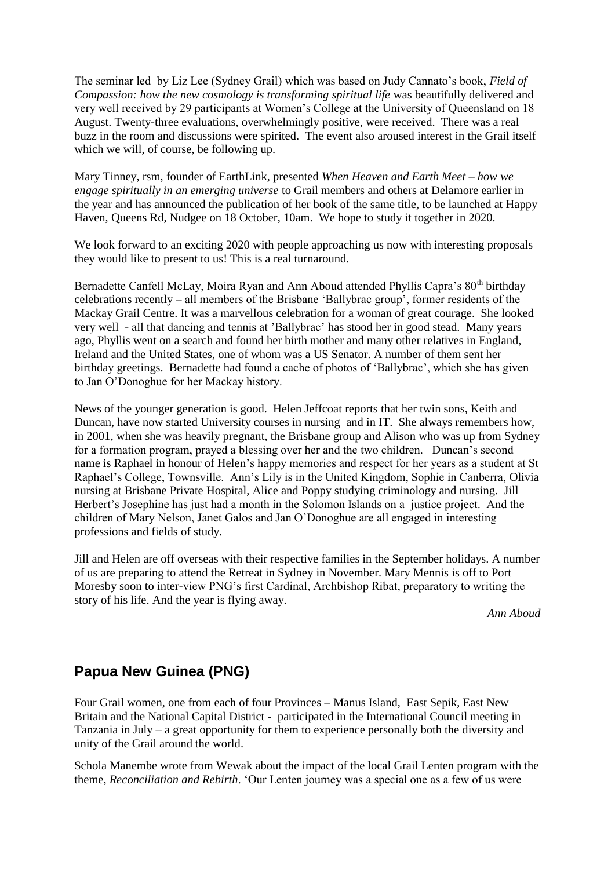The seminar led by Liz Lee (Sydney Grail) which was based on Judy Cannato's book, *Field of Compassion: how the new cosmology is transforming spiritual life* was beautifully delivered and very well received by 29 participants at Women's College at the University of Queensland on 18 August. Twenty-three evaluations, overwhelmingly positive, were received. There was a real buzz in the room and discussions were spirited. The event also aroused interest in the Grail itself which we will, of course, be following up.

Mary Tinney, rsm, founder of EarthLink, presented *When Heaven and Earth Meet – how we engage spiritually in an emerging universe* to Grail members and others at Delamore earlier in the year and has announced the publication of her book of the same title, to be launched at Happy Haven, Queens Rd, Nudgee on 18 October, 10am. We hope to study it together in 2020.

We look forward to an exciting 2020 with people approaching us now with interesting proposals they would like to present to us! This is a real turnaround.

Bernadette Canfell McLay, Moira Ryan and Ann Aboud attended Phyllis Capra's 80<sup>th</sup> birthday celebrations recently – all members of the Brisbane 'Ballybrac group', former residents of the Mackay Grail Centre. It was a marvellous celebration for a woman of great courage. She looked very well - all that dancing and tennis at 'Ballybrac' has stood her in good stead. Many years ago, Phyllis went on a search and found her birth mother and many other relatives in England, Ireland and the United States, one of whom was a US Senator. A number of them sent her birthday greetings. Bernadette had found a cache of photos of 'Ballybrac', which she has given to Jan O'Donoghue for her Mackay history.

News of the younger generation is good. Helen Jeffcoat reports that her twin sons, Keith and Duncan, have now started University courses in nursing and in IT. She always remembers how, in 2001, when she was heavily pregnant, the Brisbane group and Alison who was up from Sydney for a formation program, prayed a blessing over her and the two children. Duncan's second name is Raphael in honour of Helen's happy memories and respect for her years as a student at St Raphael's College, Townsville. Ann's Lily is in the United Kingdom, Sophie in Canberra, Olivia nursing at Brisbane Private Hospital, Alice and Poppy studying criminology and nursing. Jill Herbert's Josephine has just had a month in the Solomon Islands on a justice project. And the children of Mary Nelson, Janet Galos and Jan O'Donoghue are all engaged in interesting professions and fields of study.

Jill and Helen are off overseas with their respective families in the September holidays. A number of us are preparing to attend the Retreat in Sydney in November. Mary Mennis is off to Port Moresby soon to inter-view PNG's first Cardinal, Archbishop Ribat, preparatory to writing the story of his life. And the year is flying away.

*Ann Aboud*

# **Papua New Guinea (PNG)**

Four Grail women, one from each of four Provinces – Manus Island, East Sepik, East New Britain and the National Capital District - participated in the International Council meeting in Tanzania in July – a great opportunity for them to experience personally both the diversity and unity of the Grail around the world.

Schola Manembe wrote from Wewak about the impact of the local Grail Lenten program with the theme, *Reconciliation and Rebirth*. 'Our Lenten journey was a special one as a few of us were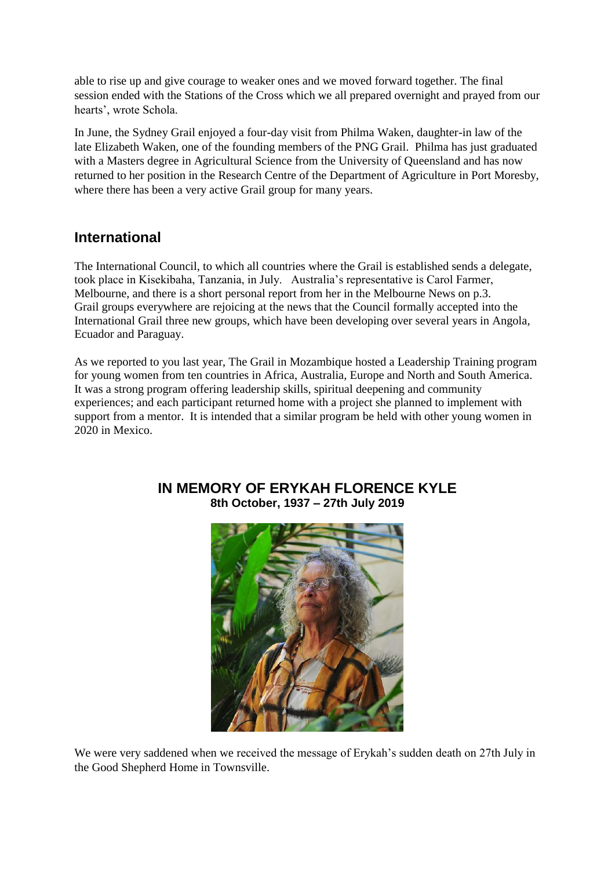able to rise up and give courage to weaker ones and we moved forward together. The final session ended with the Stations of the Cross which we all prepared overnight and prayed from our hearts', wrote Schola.

In June, the Sydney Grail enjoyed a four-day visit from Philma Waken, daughter-in law of the late Elizabeth Waken, one of the founding members of the PNG Grail. Philma has just graduated with a Masters degree in Agricultural Science from the University of Queensland and has now returned to her position in the Research Centre of the Department of Agriculture in Port Moresby, where there has been a very active Grail group for many years.

# **International**

The International Council, to which all countries where the Grail is established sends a delegate, took place in Kisekibaha, Tanzania, in July. Australia's representative is Carol Farmer, Melbourne, and there is a short personal report from her in the Melbourne News on p.3. Grail groups everywhere are rejoicing at the news that the Council formally accepted into the International Grail three new groups, which have been developing over several years in Angola, Ecuador and Paraguay.

As we reported to you last year, The Grail in Mozambique hosted a Leadership Training program for young women from ten countries in Africa, Australia, Europe and North and South America. It was a strong program offering leadership skills, spiritual deepening and community experiences; and each participant returned home with a project she planned to implement with support from a mentor. It is intended that a similar program be held with other young women in 2020 in Mexico.



## **IN MEMORY OF ERYKAH FLORENCE KYLE 8th October, 1937 – 27th July 2019**

We were very saddened when we received the message of Erykah's sudden death on 27th July in the Good Shepherd Home in Townsville.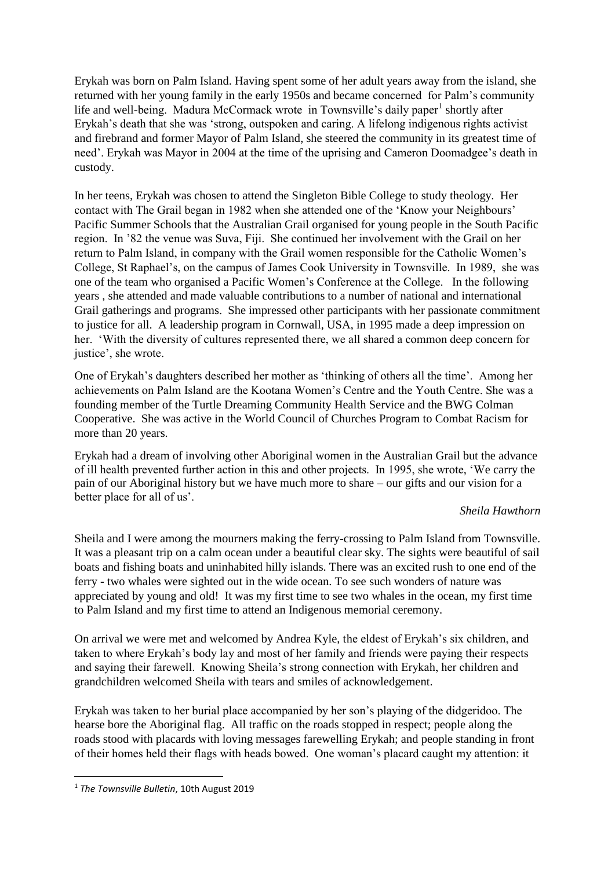Erykah was born on Palm Island. Having spent some of her adult years away from the island, she returned with her young family in the early 1950s and became concerned for Palm's community life and well-being. Madura McCormack wrote in Townsville's daily paper<sup>1</sup> shortly after Erykah's death that she was 'strong, outspoken and caring. A lifelong indigenous rights activist and firebrand and former Mayor of Palm Island, she steered the community in its greatest time of need'. Erykah was Mayor in 2004 at the time of the uprising and Cameron Doomadgee's death in custody.

In her teens, Erykah was chosen to attend the Singleton Bible College to study theology. Her contact with The Grail began in 1982 when she attended one of the 'Know your Neighbours' Pacific Summer Schools that the Australian Grail organised for young people in the South Pacific region. In '82 the venue was Suva, Fiji. She continued her involvement with the Grail on her return to Palm Island, in company with the Grail women responsible for the Catholic Women's College, St Raphael's, on the campus of James Cook University in Townsville. In 1989, she was one of the team who organised a Pacific Women's Conference at the College. In the following years , she attended and made valuable contributions to a number of national and international Grail gatherings and programs. She impressed other participants with her passionate commitment to justice for all. A leadership program in Cornwall, USA, in 1995 made a deep impression on her. 'With the diversity of cultures represented there, we all shared a common deep concern for justice', she wrote.

One of Erykah's daughters described her mother as 'thinking of others all the time'. Among her achievements on Palm Island are the Kootana Women's Centre and the Youth Centre. She was a founding member of the Turtle Dreaming Community Health Service and the BWG Colman Cooperative. She was active in the World Council of Churches Program to Combat Racism for more than 20 years.

Erykah had a dream of involving other Aboriginal women in the Australian Grail but the advance of ill health prevented further action in this and other projects. In 1995, she wrote, 'We carry the pain of our Aboriginal history but we have much more to share – our gifts and our vision for a better place for all of us'.

### *Sheila Hawthorn*

Sheila and I were among the mourners making the ferry-crossing to Palm Island from Townsville. It was a pleasant trip on a calm ocean under a beautiful clear sky. The sights were beautiful of sail boats and fishing boats and uninhabited hilly islands. There was an excited rush to one end of the ferry - two whales were sighted out in the wide ocean. To see such wonders of nature was appreciated by young and old! It was my first time to see two whales in the ocean, my first time to Palm Island and my first time to attend an Indigenous memorial ceremony.

On arrival we were met and welcomed by Andrea Kyle, the eldest of Erykah's six children, and taken to where Erykah's body lay and most of her family and friends were paying their respects and saying their farewell. Knowing Sheila's strong connection with Erykah, her children and grandchildren welcomed Sheila with tears and smiles of acknowledgement.

Erykah was taken to her burial place accompanied by her son's playing of the didgeridoo. The hearse bore the Aboriginal flag. All traffic on the roads stopped in respect; people along the roads stood with placards with loving messages farewelling Erykah; and people standing in front of their homes held their flags with heads bowed. One woman's placard caught my attention: it

**.** 

<sup>1</sup> *The Townsville Bulletin*, 10th August 2019